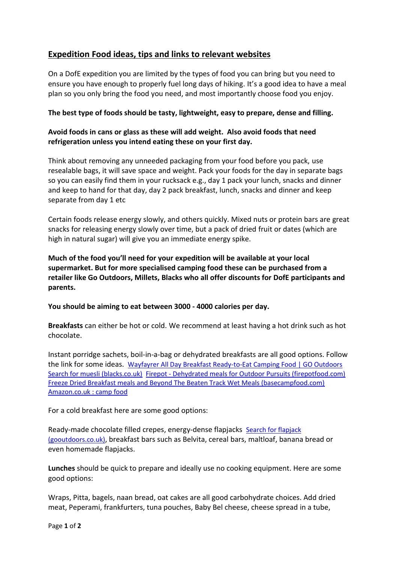## **Expedition Food ideas, tips and links to relevant websites**

On a DofE expedition you are limited by the types of food you can bring but you need to ensure you have enough to properly fuel long days of hiking. It's a good idea to have a meal plan so you only bring the food you need, and most importantly choose food you enjoy.

## **The best type of foods should be tasty, lightweight, easy to prepare, dense and filling.**

## **Avoid foods in cans or glass as these will add weight. Also avoid foods that need refrigeration unless you intend eating these on your first day.**

Think about removing any unneeded packaging from your food before you pack, use resealable bags, it will save space and weight. Pack your foods for the day in separate bags so you can easily find them in your rucksack e.g., day 1 pack your lunch, snacks and dinner and keep to hand for that day, day 2 pack breakfast, lunch, snacks and dinner and keep separate from day 1 etc

Certain foods release energy slowly, and others quickly. Mixed nuts or protein bars are great snacks for releasing energy slowly over time, but a pack of dried fruit or dates (which are high in natural sugar) will give you an immediate energy spike.

**Much of the food you'll need for your expedition will be available at your local supermarket. But for more specialised camping food these can be purchased from a retailer like Go Outdoors, Millets, Blacks who all offer discounts for DofE participants and parents.**

## **You should be aiming to eat between 3000 - 4000 calories per day.**

**Breakfasts** can either be hot or cold. We recommend at least having a hot drink such as hot chocolate.

Instant porridge sachets, boil-in-a-bag or dehydrated breakfasts are all good options. Follow the link for some ideas. [Wayfayrer All Day Breakfast Ready-to-Eat Camping Food | GO Outdoors](https://www.gooutdoors.co.uk/15893283/wayfayrer-all-day-breakfast-ready-to-eat-camping-food-15893283)  Search [for muesli \(blacks.co.uk\)](https://www.blacks.co.uk/s:muesli/?search=muesli) Firepot - [Dehydrated meals for Outdoor Pursuits \(firepotfood.com\)](https://www.firepotfood.com/collections/firepot-dehydrated-meals)  [Freeze Dried Breakfast meals and Beyond The Beaten Track Wet Meals \(basecampfood.com\)](https://basecampfood.com/collections/breakfast)  [Amazon.co.uk : camp food](https://www.amazon.co.uk/s?k=camp+food&rh=n%3A318949011%2Cp_72%3A184323031&dc&crid=GE81I3FH8ANU&qid=1649148579&rnid=184305031&sprefix=camp+food%2Caps%2C69&ref=sr_nr_p_72_1) 

For a cold breakfast here are some good options:

Ready-made chocolate filled crepes, energy-dense flapjacks [Search for flapjack](https://www.gooutdoors.co.uk/s:flapjack/?search=flapjack)  [\(gooutdoors.co.uk\)](https://www.gooutdoors.co.uk/s:flapjack/?search=flapjack), breakfast bars such as Belvita, cereal bars, maltloaf, banana bread or even homemade flapjacks.

**Lunches** should be quick to prepare and ideally use no cooking equipment. Here are some good options:

Wraps, Pitta, bagels, naan bread, oat cakes are all good carbohydrate choices. Add dried meat, Peperami, frankfurters, tuna pouches, Baby Bel cheese, cheese spread in a tube,